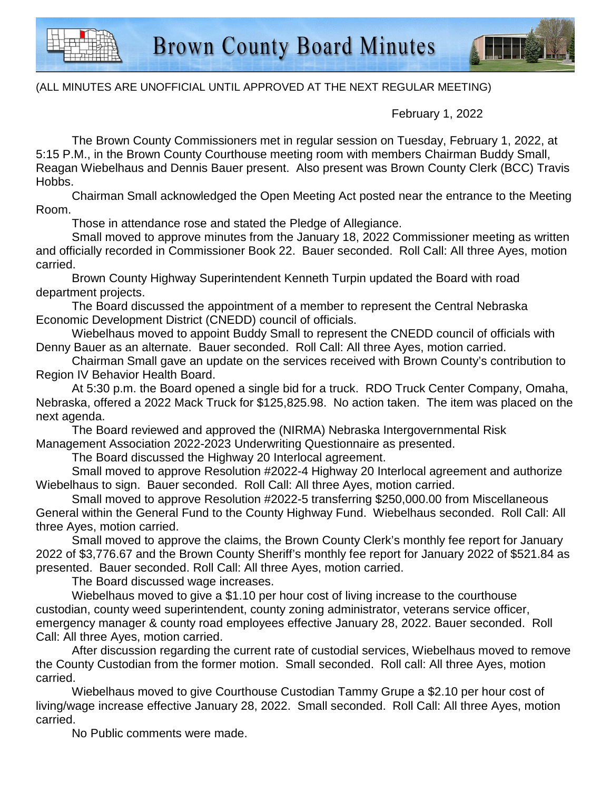

## (ALL MINUTES ARE UNOFFICIAL UNTIL APPROVED AT THE NEXT REGULAR MEETING)

February 1, 2022

The Brown County Commissioners met in regular session on Tuesday, February 1, 2022, at 5:15 P.M., in the Brown County Courthouse meeting room with members Chairman Buddy Small, Reagan Wiebelhaus and Dennis Bauer present. Also present was Brown County Clerk (BCC) Travis Hobbs.

Chairman Small acknowledged the Open Meeting Act posted near the entrance to the Meeting Room.

Those in attendance rose and stated the Pledge of Allegiance.

Small moved to approve minutes from the January 18, 2022 Commissioner meeting as written and officially recorded in Commissioner Book 22. Bauer seconded. Roll Call: All three Ayes, motion carried.

Brown County Highway Superintendent Kenneth Turpin updated the Board with road department projects.

The Board discussed the appointment of a member to represent the Central Nebraska Economic Development District (CNEDD) council of officials.

Wiebelhaus moved to appoint Buddy Small to represent the CNEDD council of officials with Denny Bauer as an alternate. Bauer seconded. Roll Call: All three Ayes, motion carried.

Chairman Small gave an update on the services received with Brown County's contribution to Region IV Behavior Health Board.

At 5:30 p.m. the Board opened a single bid for a truck. RDO Truck Center Company, Omaha, Nebraska, offered a 2022 Mack Truck for \$125,825.98. No action taken. The item was placed on the next agenda.

The Board reviewed and approved the (NIRMA) Nebraska Intergovernmental Risk Management Association 2022-2023 Underwriting Questionnaire as presented.

The Board discussed the Highway 20 Interlocal agreement.

Small moved to approve Resolution #2022-4 Highway 20 Interlocal agreement and authorize Wiebelhaus to sign. Bauer seconded. Roll Call: All three Ayes, motion carried.

Small moved to approve Resolution #2022-5 transferring \$250,000.00 from Miscellaneous General within the General Fund to the County Highway Fund. Wiebelhaus seconded. Roll Call: All three Ayes, motion carried.

Small moved to approve the claims, the Brown County Clerk's monthly fee report for January 2022 of \$3,776.67 and the Brown County Sheriff's monthly fee report for January 2022 of \$521.84 as presented. Bauer seconded. Roll Call: All three Ayes, motion carried.

The Board discussed wage increases.

Wiebelhaus moved to give a \$1.10 per hour cost of living increase to the courthouse custodian, county weed superintendent, county zoning administrator, veterans service officer, emergency manager & county road employees effective January 28, 2022. Bauer seconded. Roll Call: All three Ayes, motion carried.

After discussion regarding the current rate of custodial services, Wiebelhaus moved to remove the County Custodian from the former motion. Small seconded. Roll call: All three Ayes, motion carried.

Wiebelhaus moved to give Courthouse Custodian Tammy Grupe a \$2.10 per hour cost of living/wage increase effective January 28, 2022. Small seconded. Roll Call: All three Ayes, motion carried.

No Public comments were made.